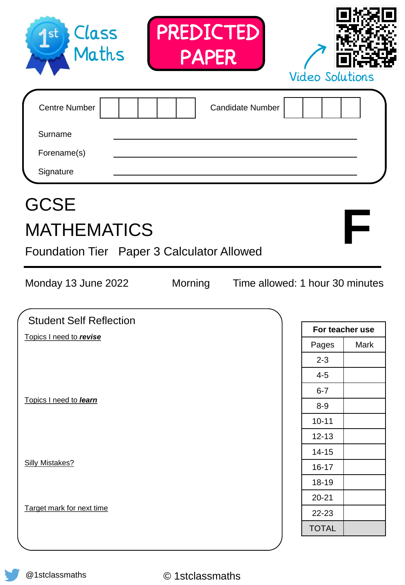| PREDICTED<br>Class<br>1 <sup>st</sup><br>Maths<br><b>PAPER</b>                                                    | <b>Video Solutions</b>          |  |
|-------------------------------------------------------------------------------------------------------------------|---------------------------------|--|
| <b>Centre Number</b><br>Surname<br>Forename(s)<br>Signature                                                       | <b>Candidate Number</b>         |  |
| <b>GCSE</b><br><b>MATHEMATICS</b><br>Foundation Tier Paper 3 Calculator Allowed<br>Morning<br>Monday 13 June 2022 | Time allowed: 1 hour 30 minutes |  |
| <b>Student Self Reflection</b>                                                                                    |                                 |  |
| Topics I need to revise                                                                                           | For teacher use                 |  |
|                                                                                                                   | Pages<br>Mark                   |  |
|                                                                                                                   | $2 - 3$                         |  |
|                                                                                                                   | $4 - 5$                         |  |
| Topics I need to learn                                                                                            | $6 - 7$                         |  |
|                                                                                                                   | $8-9$                           |  |
|                                                                                                                   | $10 - 11$                       |  |
|                                                                                                                   | $12 - 13$                       |  |
| <b>Silly Mistakes?</b>                                                                                            | $14 - 15$                       |  |
|                                                                                                                   | $16 - 17$                       |  |
|                                                                                                                   | 18-19                           |  |
| Target mark for next time                                                                                         | $20 - 21$                       |  |
|                                                                                                                   | 22-23                           |  |
|                                                                                                                   | <b>TOTAL</b>                    |  |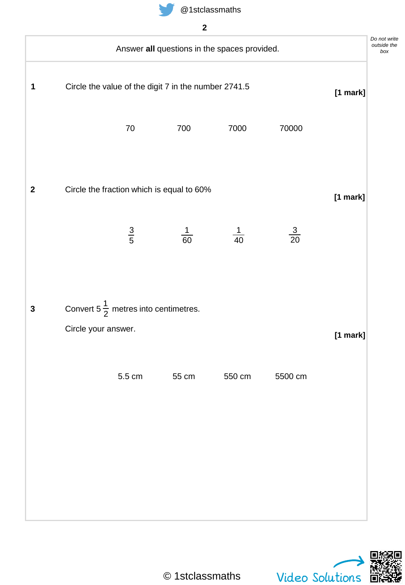

|                  |                                                                         |                  |                                                      | Answer all questions in the spaces provided. |                | Do not write<br>outside the |
|------------------|-------------------------------------------------------------------------|------------------|------------------------------------------------------|----------------------------------------------|----------------|-----------------------------|
| 1                |                                                                         |                  | Circle the value of the digit 7 in the number 2741.5 |                                              |                | [1 mark]                    |
|                  |                                                                         | $70\,$           | 700                                                  | 7000                                         | 70000          |                             |
| $\boldsymbol{2}$ |                                                                         |                  | Circle the fraction which is equal to 60%            |                                              |                | $[1$ mark]                  |
|                  |                                                                         | $\frac{3}{5}$    | $\frac{1}{60}$                                       | $\frac{1}{40}$                               | $\frac{3}{20}$ |                             |
| $\mathbf{3}$     | Convert 5 $\frac{1}{2}$ metres into centimetres.<br>Circle your answer. |                  |                                                      |                                              |                |                             |
|                  |                                                                         | $5.5 \text{ cm}$ | 55 cm                                                | 550 cm                                       | 5500 cm        | [1 mark]                    |
|                  |                                                                         |                  |                                                      |                                              |                |                             |
|                  |                                                                         |                  |                                                      |                                              |                |                             |
|                  |                                                                         |                  |                                                      |                                              |                |                             |



*write*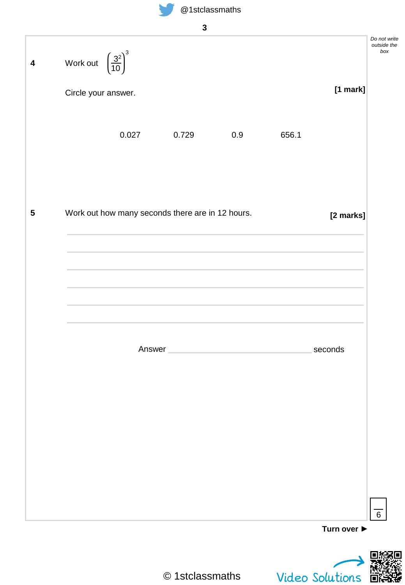

| Work out $\left(\frac{3^2}{10}\right)^3$ |       |                                                  |     |       |            |
|------------------------------------------|-------|--------------------------------------------------|-----|-------|------------|
| Circle your answer.                      |       |                                                  |     |       | $[1$ mark] |
|                                          | 0.027 | 0.729                                            | 0.9 | 656.1 |            |
|                                          |       |                                                  |     |       |            |
|                                          |       |                                                  |     |       |            |
|                                          |       | Work out how many seconds there are in 12 hours. |     |       | [2 marks]  |
|                                          |       |                                                  |     |       |            |
|                                          |       |                                                  |     |       |            |
|                                          |       |                                                  |     |       |            |
|                                          |       |                                                  |     |       |            |
|                                          |       | Answer                                           |     |       | seconds    |
|                                          |       |                                                  |     |       |            |
|                                          |       |                                                  |     |       |            |
|                                          |       |                                                  |     |       |            |
|                                          |       |                                                  |     |       |            |
|                                          |       |                                                  |     |       |            |
|                                          |       |                                                  |     |       |            |
|                                          |       |                                                  |     |       |            |

© 1stclassmaths

Video Solutions

简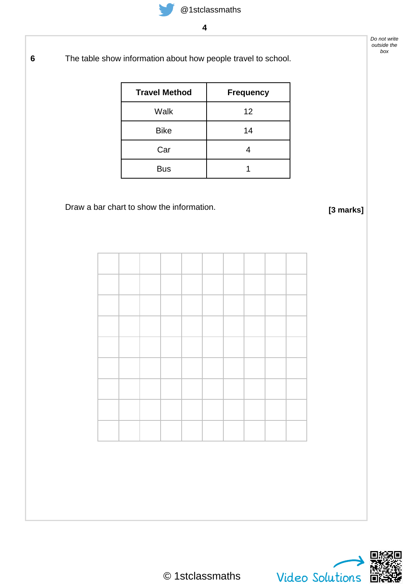**6** The table show information about how people travel to school.

| <b>Travel Method</b> | <b>Frequency</b> |
|----------------------|------------------|
| Walk                 | 12               |
| <b>Bike</b>          | 14               |
| Car                  |                  |
| <b>Bus</b>           |                  |

## Draw a bar chart to show the information.

**[3 marks]**

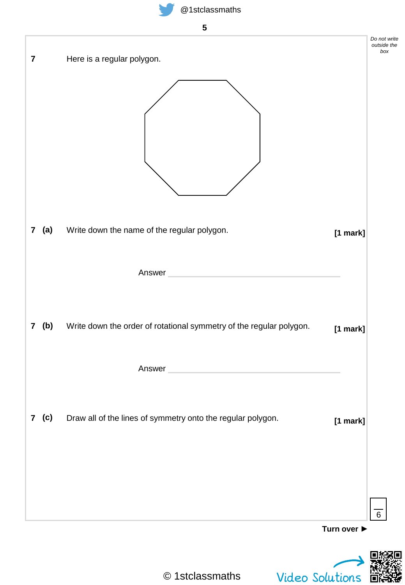

| $\overline{\mathbf{7}}$ | Here is a regular polygon.                                                                                                                                                                                                                              | Do not write<br>outside the<br>box |
|-------------------------|---------------------------------------------------------------------------------------------------------------------------------------------------------------------------------------------------------------------------------------------------------|------------------------------------|
| (a)<br>$\mathbf{7}$     | Write down the name of the regular polygon.<br>$\mathcal{L}^{\mathcal{L}}(\mathcal{L}^{\mathcal{L}})$ and $\mathcal{L}^{\mathcal{L}}(\mathcal{L}^{\mathcal{L}})$ . The contribution of $\mathcal{L}^{\mathcal{L}}(\mathcal{L}^{\mathcal{L}})$<br>Answer | $[1$ mark]                         |
| 7 (b)                   | Write down the order of rotational symmetry of the regular polygon.<br>Answer                                                                                                                                                                           | $[1$ mark]                         |
| 7 (c)                   | Draw all of the lines of symmetry onto the regular polygon.                                                                                                                                                                                             | $[1$ mark]<br>6                    |
|                         |                                                                                                                                                                                                                                                         | Turn over $\blacktriangleright$    |
|                         |                                                                                                                                                                                                                                                         |                                    |

© 1stclassmaths

Video Solutions

间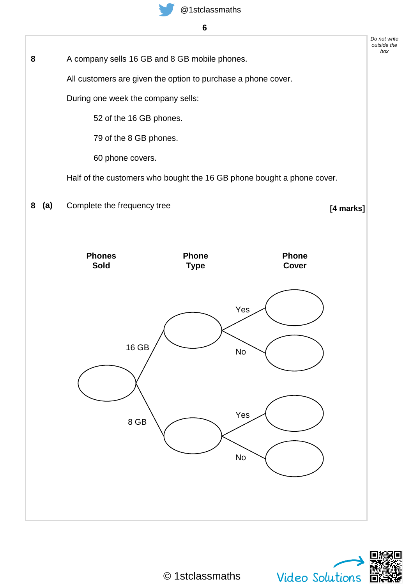

A company sells 16 GB and 8 GB mobile phones. All customers are given the option to purchase a phone cover. During one week the company sells: 52 of the 16 GB phones. 79 of the 8 GB phones. 60 phone covers. Half of the customers who bought the 16 GB phone bought a phone cover. **Phone Cover** Yes No Yes No **Phone Type** 16 GB 8 GB Complete the frequency tree **[4 marks] 8 (a) Phones Sold**

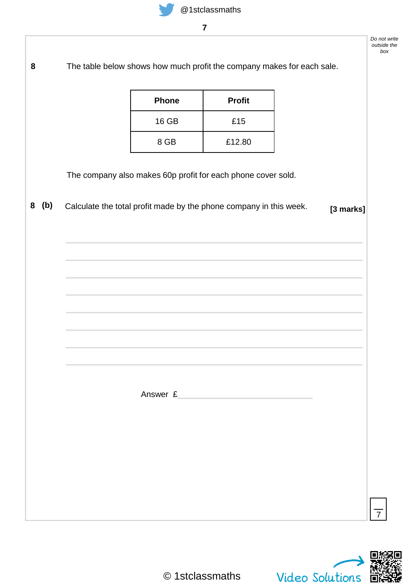The table below shows how much profit the company makes for each sale. **8**

| <b>Phone</b> | <b>Profit</b> |
|--------------|---------------|
| 16 GB        | £15           |
| 8 GB         | £12.80        |

The company also makes 60p profit for each phone cover sold.

**[3 marks] <sup>8</sup> (b)** Calculate the total profit made by the phone company in this week.

Answer £



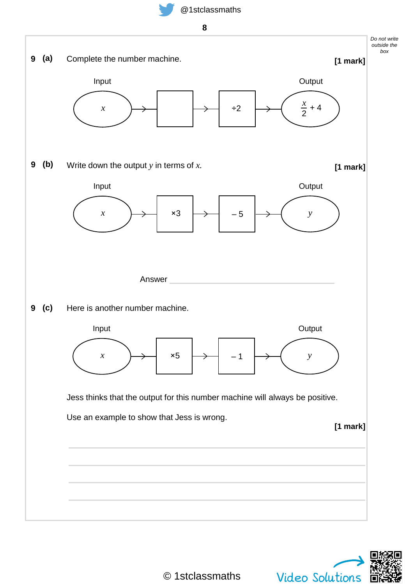**8**



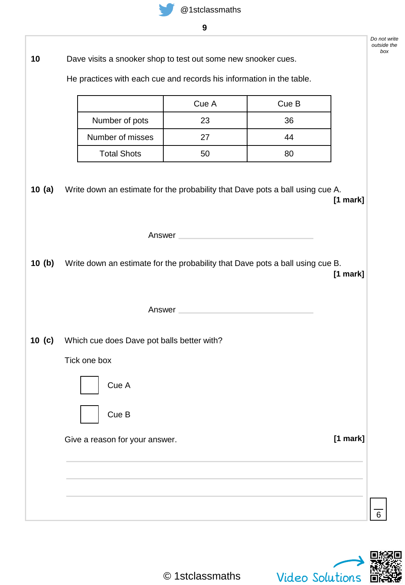| 10                | Dave visits a snooker shop to test out some new snooker cues.                        |                                                                                                                |       | box      |
|-------------------|--------------------------------------------------------------------------------------|----------------------------------------------------------------------------------------------------------------|-------|----------|
|                   | He practices with each cue and records his information in the table.                 |                                                                                                                |       |          |
|                   |                                                                                      | Cue A                                                                                                          | Cue B |          |
|                   | Number of pots                                                                       | 23                                                                                                             | 36    |          |
|                   | Number of misses                                                                     | 27                                                                                                             | 44    |          |
|                   | <b>Total Shots</b>                                                                   | 50                                                                                                             | 80    |          |
| 10 $(a)$          | Write down an estimate for the probability that Dave pots a ball using cue A.        |                                                                                                                |       | [1 mark] |
|                   |                                                                                      | Answer                                                                                                         |       |          |
|                   | 10 (b) Write down an estimate for the probability that Dave pots a ball using cue B. |                                                                                                                |       | [1 mark] |
|                   |                                                                                      | Answer and the contract of the contract of the contract of the contract of the contract of the contract of the |       |          |
| 10 <sub>(c)</sub> | Which cue does Dave pot balls better with?                                           |                                                                                                                |       |          |
|                   | Tick one box                                                                         |                                                                                                                |       |          |
|                   | Cue A                                                                                |                                                                                                                |       |          |
|                   | Cue B                                                                                |                                                                                                                |       |          |
|                   | Give a reason for your answer.                                                       |                                                                                                                |       | [1 mark] |
|                   |                                                                                      |                                                                                                                |       |          |
|                   |                                                                                      |                                                                                                                |       |          |
|                   |                                                                                      |                                                                                                                |       | 6        |

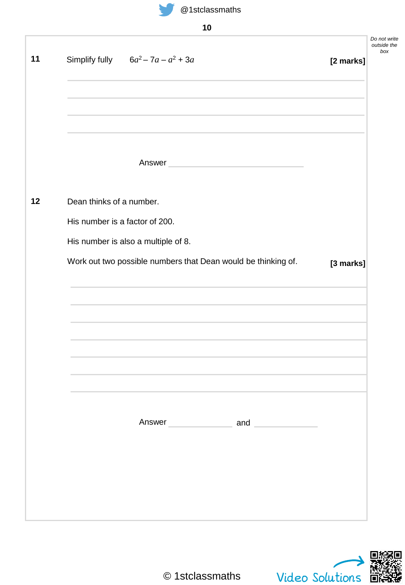

| × | ٦<br>۰.<br>v |
|---|--------------|
|   |              |

| Answer<br>the control of the control of the control of<br>Dean thinks of a number.<br>His number is a factor of 200.<br>His number is also a multiple of 8.<br>Work out two possible numbers that Dean would be thinking of.<br>Answer and and | Simplify fully $6a^2 - 7a - a^2 + 3a$ | [2 marks] |
|------------------------------------------------------------------------------------------------------------------------------------------------------------------------------------------------------------------------------------------------|---------------------------------------|-----------|
|                                                                                                                                                                                                                                                |                                       |           |
|                                                                                                                                                                                                                                                |                                       |           |
|                                                                                                                                                                                                                                                |                                       |           |
|                                                                                                                                                                                                                                                |                                       |           |
|                                                                                                                                                                                                                                                |                                       |           |
|                                                                                                                                                                                                                                                |                                       |           |
|                                                                                                                                                                                                                                                |                                       | [3 marks] |
|                                                                                                                                                                                                                                                |                                       |           |
|                                                                                                                                                                                                                                                |                                       |           |
|                                                                                                                                                                                                                                                |                                       |           |
|                                                                                                                                                                                                                                                |                                       |           |
|                                                                                                                                                                                                                                                |                                       |           |
|                                                                                                                                                                                                                                                |                                       |           |

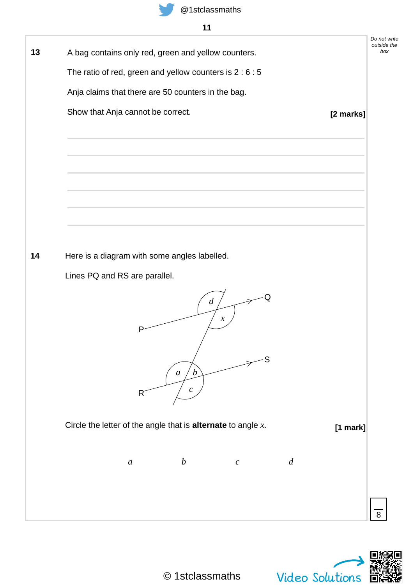

## **11**

| A bag contains only red, green and yellow counters.                    |                  | Do not write<br>outside the<br>box |
|------------------------------------------------------------------------|------------------|------------------------------------|
| The ratio of red, green and yellow counters is $2:6:5$                 |                  |                                    |
| Anja claims that there are 50 counters in the bag.                     |                  |                                    |
|                                                                        |                  |                                    |
| Show that Anja cannot be correct.                                      |                  | [2 marks]                          |
|                                                                        |                  |                                    |
|                                                                        |                  |                                    |
|                                                                        |                  |                                    |
|                                                                        |                  |                                    |
|                                                                        |                  |                                    |
|                                                                        |                  |                                    |
|                                                                        |                  |                                    |
| Here is a diagram with some angles labelled.                           |                  |                                    |
| Lines PQ and RS are parallel.                                          |                  |                                    |
| d<br>$\boldsymbol{\chi}$<br>Р<br>a<br>$\boldsymbol{\mathcal{D}}$       | Q<br>S           |                                    |
| $\mathcal{C}^-$<br>R                                                   |                  |                                    |
| Circle the letter of the angle that is <b>alternate</b> to angle $x$ . |                  | $[1$ mark]                         |
|                                                                        |                  |                                    |
| $\boldsymbol{b}$<br>$\boldsymbol{a}$<br>$\boldsymbol{c}$               | $\boldsymbol{d}$ |                                    |
|                                                                        |                  |                                    |
|                                                                        |                  |                                    |
|                                                                        |                  |                                    |

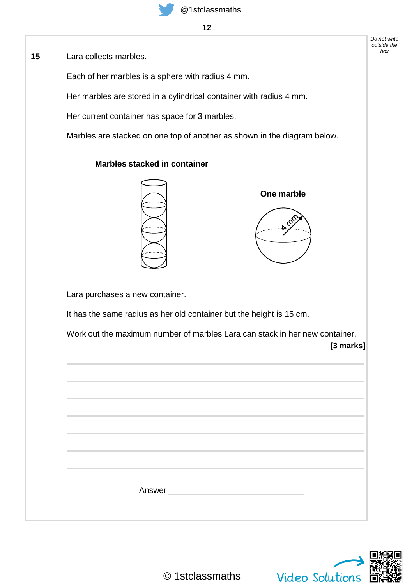Lara collects marbles. **15**

Each of her marbles is a sphere with radius 4 mm.

Her marbles are stored in a cylindrical container with radius 4 mm.

Her current container has space for 3 marbles.

**Marbles stacked in container**

Marbles are stacked on one top of another as shown in the diagram below.

**One marble**



Lara purchases a new container.

It has the same radius as her old container but the height is 15 cm.

Work out the maximum number of marbles Lara can stack in her new container.

**[3 marks]**

| Answer |  |
|--------|--|
|        |  |
|        |  |

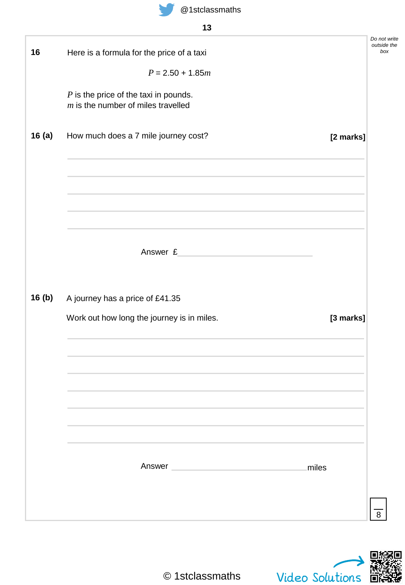| 16    | Here is a formula for the price of a taxi                                                                               | Do not write<br>outside the<br>box |
|-------|-------------------------------------------------------------------------------------------------------------------------|------------------------------------|
|       | $P = 2.50 + 1.85m$                                                                                                      |                                    |
|       | $P$ is the price of the taxi in pounds.<br>$m$ is the number of miles travelled                                         |                                    |
| 16(a) | How much does a 7 mile journey cost?<br>[2 marks]                                                                       |                                    |
|       |                                                                                                                         |                                    |
|       |                                                                                                                         |                                    |
|       | Answer £<br><u> 1980 - Johann Barbara, martxa</u>                                                                       |                                    |
| 16(b) | A journey has a price of £41.35                                                                                         |                                    |
|       | Work out how long the journey is in miles.<br>[3 marks]                                                                 |                                    |
|       |                                                                                                                         |                                    |
|       |                                                                                                                         |                                    |
|       |                                                                                                                         |                                    |
|       |                                                                                                                         |                                    |
|       | Answer and the contract of the contract of the contract of the contract of the contract of the contract of the<br>miles |                                    |
|       |                                                                                                                         | 8                                  |

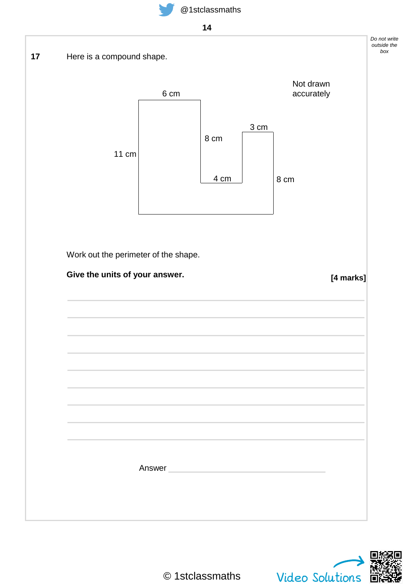

**14**

Here is a compound shape. Work out the perimeter of the shape. **Give the units of your answer.** *Do not write outside the box* **17 [4 marks]** Answer 11 cm 6 cm 4 cm 3 cm 8 cm 8 cm Not drawn accurately

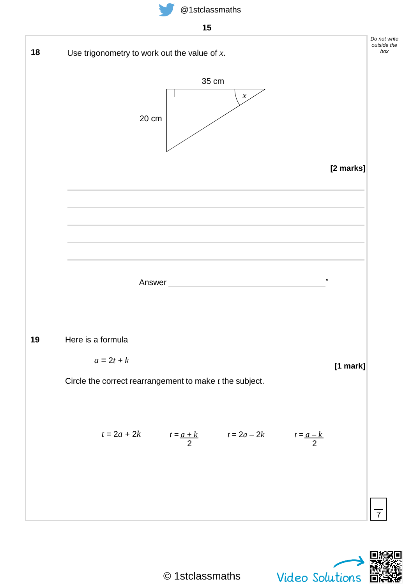



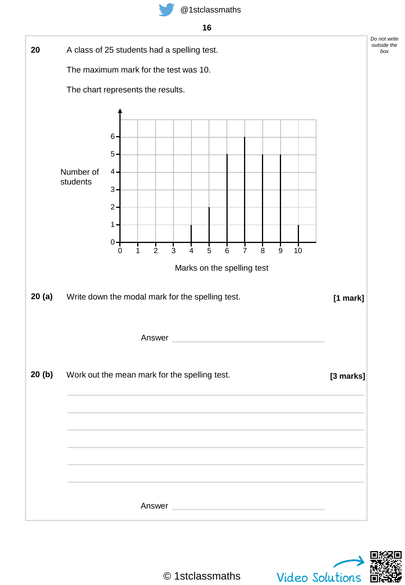

![](_page_15_Figure_2.jpeg)

![](_page_15_Picture_3.jpeg)

© 1stclassmaths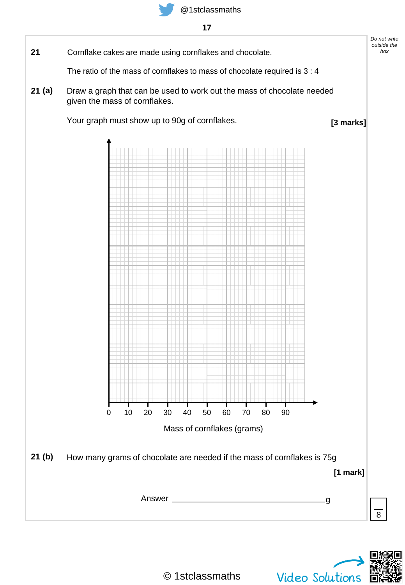![](_page_16_Picture_0.jpeg)

**17**

![](_page_16_Figure_3.jpeg)

![](_page_16_Picture_4.jpeg)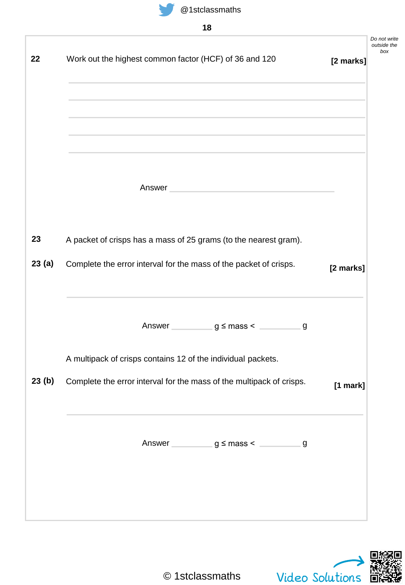![](_page_17_Picture_0.jpeg)

| - 1<br>۰.<br>×<br>۰. |
|----------------------|
|----------------------|

|       |                                                                                                                                                                                                                                      |           | Do not write<br>outside the<br>box |
|-------|--------------------------------------------------------------------------------------------------------------------------------------------------------------------------------------------------------------------------------------|-----------|------------------------------------|
| 22    | Work out the highest common factor (HCF) of 36 and 120                                                                                                                                                                               | [2 marks] |                                    |
|       |                                                                                                                                                                                                                                      |           |                                    |
|       |                                                                                                                                                                                                                                      |           |                                    |
|       |                                                                                                                                                                                                                                      |           |                                    |
|       |                                                                                                                                                                                                                                      |           |                                    |
|       | Answer <u>and the community of the community of the community of the community of the community of the community of the community of the community of the community of the community of the community of the community of the co</u> |           |                                    |
|       |                                                                                                                                                                                                                                      |           |                                    |
|       |                                                                                                                                                                                                                                      |           |                                    |
| 23    | A packet of crisps has a mass of 25 grams (to the nearest gram).                                                                                                                                                                     |           |                                    |
| 23(a) | Complete the error interval for the mass of the packet of crisps.                                                                                                                                                                    | [2 marks] |                                    |
|       |                                                                                                                                                                                                                                      |           |                                    |
|       |                                                                                                                                                                                                                                      |           |                                    |
|       | Answer $g \leq$ mass <<br>g                                                                                                                                                                                                          |           |                                    |
|       | A multipack of crisps contains 12 of the individual packets.                                                                                                                                                                         |           |                                    |
| 23(b) | Complete the error interval for the mass of the multipack of crisps.                                                                                                                                                                 | [1 mark]  |                                    |
|       |                                                                                                                                                                                                                                      |           |                                    |
|       |                                                                                                                                                                                                                                      |           |                                    |
|       |                                                                                                                                                                                                                                      |           |                                    |
|       |                                                                                                                                                                                                                                      |           |                                    |
|       |                                                                                                                                                                                                                                      |           |                                    |
|       |                                                                                                                                                                                                                                      |           |                                    |
|       |                                                                                                                                                                                                                                      |           |                                    |

![](_page_17_Picture_4.jpeg)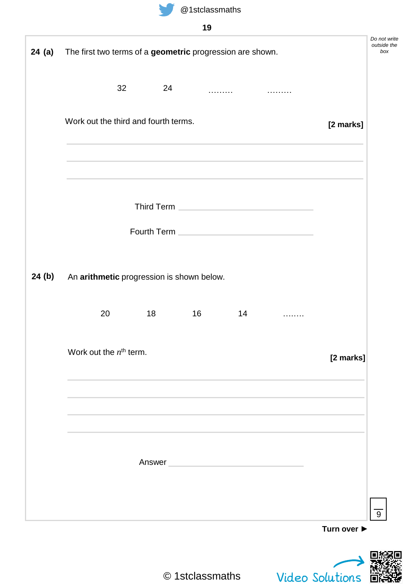![](_page_18_Picture_0.jpeg)

| 19 |  |
|----|--|

| 24 (a)<br>The first two terms of a geometric progression are shown.                                                                                                                                                                  |           |
|--------------------------------------------------------------------------------------------------------------------------------------------------------------------------------------------------------------------------------------|-----------|
| 32<br>24                                                                                                                                                                                                                             |           |
| Work out the third and fourth terms.<br>and the control of the control of the control of the control of the control of the control of the control of the                                                                             | [2 marks] |
|                                                                                                                                                                                                                                      |           |
| Third Term <b>Experiment Control</b> to the control of the control of the control of the control of the control of the control of the control of the control of the control of the control of the control of the control of the con  |           |
| Fourth Term <b>Contract Contract Contract Contract Contract Contract Contract Contract Contract Contract Contract Contract Contract Contract Contract Contract Contract Contract Contract Contract Contract Contract Contract Co</b> |           |
| 24 (b)<br>An arithmetic progression is shown below.                                                                                                                                                                                  |           |
| 20<br>18<br>16<br>14<br><b>Contract Contract Contract</b>                                                                                                                                                                            |           |
| Work out the $nth$ term.                                                                                                                                                                                                             | [2 marks] |
|                                                                                                                                                                                                                                      |           |
|                                                                                                                                                                                                                                      |           |
| Answer<br><u> 1980 - Jan Stein Stein, marwolaethau a bh</u>                                                                                                                                                                          |           |
|                                                                                                                                                                                                                                      |           |
|                                                                                                                                                                                                                                      |           |

© 1stclassmaths

Video Solutions

儼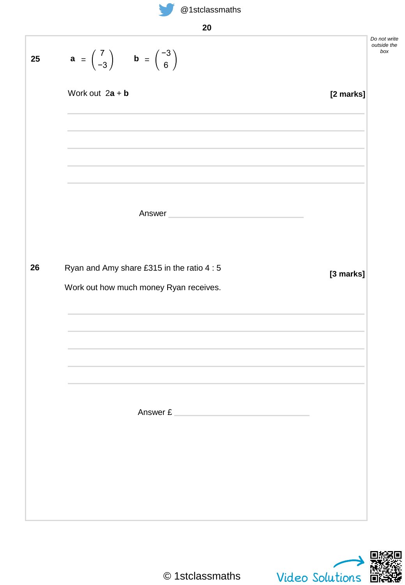![](_page_19_Picture_0.jpeg)

*Do not write outside the box* **25 a** = **[2 marks]** Answer Ryan and Amy share £315 in the ratio 4 : 5 Work out how much money Ryan receives. **26 [3 marks]** Answer £ 7  $\begin{pmatrix} 7 \\ -3 \end{pmatrix}$  **b** =  $\begin{pmatrix} -3 \\ 6 \end{pmatrix}$ 6 Work out  $2a + b$ 

![](_page_19_Picture_3.jpeg)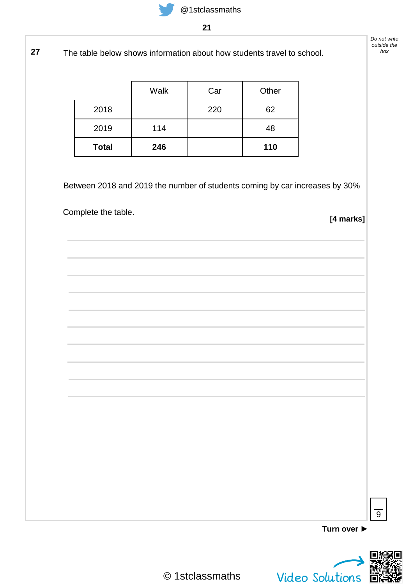**27** The table below shows information about how students travel to school.

|              | Walk | Car | Other |
|--------------|------|-----|-------|
| 2018         |      | 220 | 62    |
| 2019         | 114  |     | 48    |
| <b>Total</b> | 246  |     | 110   |

Between 2018 and 2019 the number of students coming by car increases by 30%

Complete the table.

**[4 marks]**

**Turn over ►**

![](_page_20_Picture_8.jpeg)

 $\overline{9}$ 

© 1stclassmaths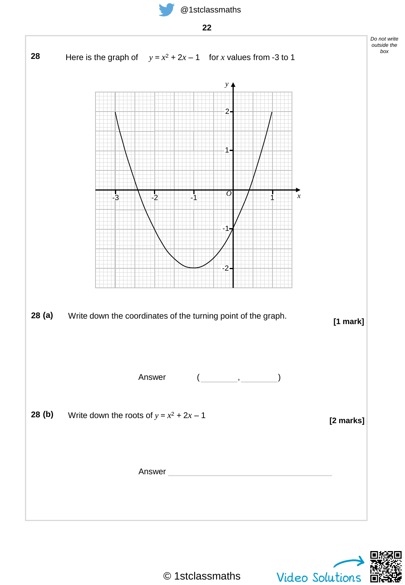![](_page_21_Picture_0.jpeg)

![](_page_21_Figure_1.jpeg)

![](_page_21_Figure_2.jpeg)

![](_page_21_Picture_3.jpeg)